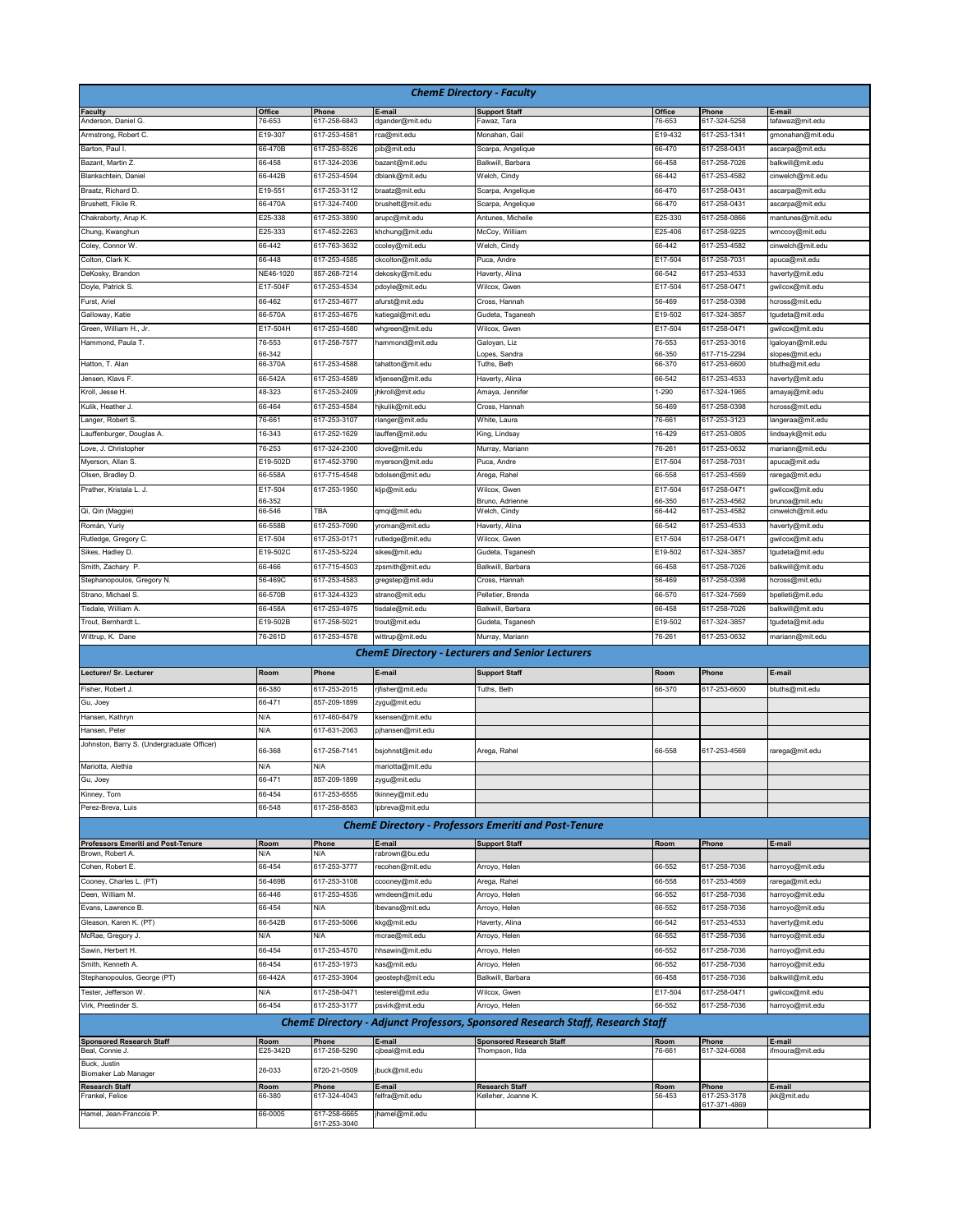| <b>ChemE Directory - Faculty</b>              |                     |                              |                                     |                                                                                       |                       |                              |                                     |  |  |  |
|-----------------------------------------------|---------------------|------------------------------|-------------------------------------|---------------------------------------------------------------------------------------|-----------------------|------------------------------|-------------------------------------|--|--|--|
| <b>Faculty</b>                                | Office              | Phone                        | E-mail                              | <b>Support Staff</b>                                                                  | Office                | Phone                        | E-mail                              |  |  |  |
| Anderson, Daniel G.<br>Armstrong, Robert C.   | 76-653<br>E19-307   | 617-258-6843<br>617-253-4581 | dgander@mit.edu                     | Fawaz, Tara<br>Monahan, Gail                                                          | 76-653<br>E19-432     | 617-324-5258<br>617-253-1341 | tafawaz@mit.edu<br>gmonahan@mit.edu |  |  |  |
| Barton, Paul I.                               | 66-470B             | 617-253-6526                 | rca@mit.edu<br>pib@mit.edu          | Scarpa, Angelique                                                                     | 66-470                | 617-258-0431                 | ascarpa@mit.edu                     |  |  |  |
| Bazant, Martin Z.                             | 66-458              | 617-324-2036                 | bazant@mit.edu                      | Balkwill, Barbara                                                                     | 66-458                | 617-258-7026                 | balkwill@mit.edu                    |  |  |  |
| Blankschtein, Daniel                          | 66-442B             | 617-253-4594                 | dblank@mit.edu                      | Welch, Cindy                                                                          | 66-442                | 617-253-4582                 | cinwelch@mit.edu                    |  |  |  |
| Braatz, Richard D.                            | E19-551             | 617-253-3112                 | braatz@mit.edu                      | Scarpa, Angelique                                                                     | 66-470                | 617-258-0431                 | ascarpa@mit.edu                     |  |  |  |
| Brushett, Fikile R.                           | 66-470A             | 617-324-7400                 | brushett@mit.edu                    | Scarpa, Angelique                                                                     | 66-470                | 617-258-0431                 | ascarpa@mit.edu                     |  |  |  |
| Chakraborty, Arup K.                          | E25-338             | 617-253-3890                 | arupc@mit.edu                       | Antunes, Michelle                                                                     | E25-330               | 617-258-0866                 | mantunes@mit.edu                    |  |  |  |
| Chung, Kwanghun                               | E25-333             | 617-452-2263                 | khchung@mit.edu                     | McCoy, William                                                                        | E25-406               | 617-258-9225                 | wmccoy@mit.edu                      |  |  |  |
| Coley, Connor W.                              | 66-442              | 617-763-3632                 | ccoley@mit.edu                      | Welch, Cindy                                                                          | 66-442                | 617-253-4582                 | cinwelch@mit.edu                    |  |  |  |
| Colton, Clark K.<br>DeKosky, Brandon          | 66-448<br>NE46-1020 | 617-253-4585<br>857-268-7214 | ckcolton@mit.edu<br>dekosky@mit.edu | Puca, Andre<br>Haverty, Alina                                                         | E17-504<br>66-542     | 617-258-7031<br>617-253-4533 | apuca@mit.edu<br>haverty@mit.edu    |  |  |  |
| Doyle, Patrick S.                             | E17-504F            | 617-253-4534                 | pdoyle@mit.edu                      | Wilcox, Gwen                                                                          | E17-504               | 617-258-0471                 | gwilcox@mit.edu                     |  |  |  |
| Furst, Ariel                                  | 66-462              | 617-253-4677                 | afurst@mit.edu                      | Cross, Hannah                                                                         | 56-469                | 617-258-0398                 | hcross@mit.edu                      |  |  |  |
| Galloway, Katie                               | 66-570A             | 617-253-4675                 | katiegal@mit.edu                    | Gudeta, Tsganesh                                                                      | E19-502               | 617-324-3857                 | tgudeta@mit.edu                     |  |  |  |
| Green, William H., Jr.                        | E17-504H            | 617-253-4580                 | whgreen@mit.edu                     | Wilcox, Gwen                                                                          | E17-504               | 617-258-0471                 | gwilcox@mit.edu                     |  |  |  |
| Hammond, Paula T.                             | 76-553              | 617-258-7577                 | hammond@mit.edu                     | Galoyan, Liz                                                                          | 76-553                | 617-253-3016                 | galoyan@mit.edu                     |  |  |  |
| Hatton, T. Alan                               | 66-342<br>66-370A   | 617-253-4588                 | tahatton@mit.edu                    | opes, Sandra<br>Tuths, Beth                                                           | 66-350<br>66-370      | 617-715-2294<br>617-253-6600 | slopes@mit.edu<br>btuths@mit.edu    |  |  |  |
| Jensen, Klavs F.                              | 66-542A             | 617-253-4589                 | kfjensen@mit.edu                    | Haverty, Alina                                                                        | 66-542                | 617-253-4533                 | haverty@mit.edu                     |  |  |  |
| Kroll, Jesse H.                               | 48-323              | 617-253-2409                 | hkroll@mit.edu                      | Amaya, Jennifer                                                                       | 1-290                 | 617-324-1965                 | amayaj@mit.edu                      |  |  |  |
| Kulik, Heather J.                             | 66-464              | 617-253-4584                 | hjkulik@mit.edu                     | Cross, Hannah                                                                         | 56-469                | 617-258-0398                 | hcross@mit.edu                      |  |  |  |
| Langer, Robert S.                             | 76-661              | 617-253-3107                 | rlanger@mit.edu                     | White, Laura                                                                          | 76-661                | 617-253-3123                 | langeraa@mit.edu                    |  |  |  |
| Lauffenburger, Douglas A.                     | 16-343              | 617-252-1629                 | lauffen@mit.edu                     | King, Lindsay                                                                         | 16-429                | 617-253-0805                 | indsayk@mit.edu                     |  |  |  |
| Love, J. Christopher                          | 76-253              | 617-324-2300                 | clove@mit.edu                       | Murray, Mariann                                                                       | 76-261                | 617-253-0632                 | mariann@mit.edu                     |  |  |  |
| Myerson, Allan S.                             | E19-502D            | 617-452-3790                 | myerson@mit.edu                     | Puca, Andre                                                                           | E17-504               | 617-258-7031                 | apuca@mit.edu                       |  |  |  |
| Olsen, Bradley D.                             | 66-558A             | 617-715-4548                 | bdolsen@mit.edu                     | Arega, Rahel                                                                          | 66-558                | 617-253-4569                 | rarega@mit.edu                      |  |  |  |
| Prather, Kristala L. J.                       | E17-504             | 617-253-1950                 | kljp@mit.edu                        | Wilcox, Gwen                                                                          | E17-504               | 617-258-0471                 | gwilcox@mit.edu                     |  |  |  |
| Qi, Qin (Maggie)                              | 66-352<br>66-546    | TBA                          | qmqi@mit.edu                        | Bruno, Adrienne<br>Welch, Cindy                                                       | 66-350<br>66-442      | 617-253-4562<br>617-253-4582 | orunoa@mit.edu<br>cinwelch@mit.edu  |  |  |  |
| Román, Yuriy                                  | 66-558B             | 617-253-7090                 | yroman@mit.edu                      | Haverty, Alina                                                                        | 66-542                | 617-253-4533                 | haverty@mit.edu                     |  |  |  |
| Rutledge, Gregory C.                          | E17-504             | 617-253-0171                 | rutledge@mit.edu                    | Wilcox, Gwen                                                                          | E17-504               | 617-258-0471                 | gwilcox@mit.edu                     |  |  |  |
| Sikes, Hadley D.                              | E19-502C            | 617-253-5224                 | sikes@mit.edu                       | Gudeta, Tsganesh                                                                      | E19-502               | 617-324-3857                 | tgudeta@mit.edu                     |  |  |  |
| Smith, Zachary P.                             | 66-466              | 617-715-4503                 | zpsmith@mit.edu                     | Balkwill, Barbara                                                                     | 66-458                | 617-258-7026                 | balkwill@mit.edu                    |  |  |  |
| Stephanopoulos, Gregory N.                    | 56-469C             | 617-253-4583                 | gregstep@mit.edu                    | Cross, Hannah                                                                         | 56-469                | 617-258-0398                 | hcross@mit.edu                      |  |  |  |
| Strano, Michael S.                            | 66-570B             | 617-324-4323                 | strano@mit.edu                      | Pelletier, Brenda                                                                     | 66-570                | 617-324-7569                 | bpelleti@mit.edu                    |  |  |  |
| Tisdale, William A.                           | 66-458A             | 617-253-4975                 | tisdale@mit.edu                     | Balkwill, Barbara                                                                     | 66-458                | 617-258-7026                 | balkwill@mit.edu                    |  |  |  |
| Trout, Bernhardt L                            | E19-502B            | 617-258-5021                 | trout@mit.edu                       | Gudeta, Tsganesh                                                                      | E19-502               | 617-324-3857                 | tgudeta@mit.edu                     |  |  |  |
| Wittrup, K. Dane                              | 76-261D             | 617-253-4578                 | wittrup@mit.edu                     | Murray, Mariann                                                                       | 76-261                | 617-253-0632                 | mariann@mit.edu                     |  |  |  |
|                                               |                     |                              |                                     | <b>ChemE Directory - Lecturers and Senior Lecturers</b>                               |                       |                              |                                     |  |  |  |
| Lecturer/ Sr. Lecturer                        | Room                | Phone                        | E-mail                              | <b>Support Staff</b>                                                                  | Room                  | Phone                        | E-mail                              |  |  |  |
|                                               |                     |                              |                                     |                                                                                       |                       |                              |                                     |  |  |  |
| Fisher, Robert J.<br>Gu, Joey                 | 66-380<br>66-471    | 617-253-2015<br>857-209-1899 | rjfisher@mit.edu<br>zygu@mit.edu    | Tuths, Beth                                                                           | 66-370                | 617-253-6600                 | btuths@mit.edu                      |  |  |  |
| Hansen, Kathryn                               | N/A                 | 617-460-6479                 | ksensen@mit.edu                     |                                                                                       |                       |                              |                                     |  |  |  |
| Hansen, Peter                                 | N/A                 | 617-631-2063                 | pjhansen@mit.edu                    |                                                                                       |                       |                              |                                     |  |  |  |
| Johnston, Barry S. (Undergraduate Officer)    |                     |                              |                                     |                                                                                       |                       |                              |                                     |  |  |  |
|                                               | 66-368              | 617-258-7141                 | bsjohnst@mit.edu                    | Arega, Rahel                                                                          | 66-558                | 617-253-4569                 | rarega@mit.edu                      |  |  |  |
| Mariotta, Alethia                             | N/A                 | N/A                          | mariotta@mit.edu                    |                                                                                       |                       |                              |                                     |  |  |  |
| Gu, Joey                                      | 66-471              | 857-209-1899                 | zygu@mit.edu                        |                                                                                       |                       |                              |                                     |  |  |  |
| Kinney, Tom                                   | 66-454              | 617-253-6555                 | tkinney@mit.edu                     |                                                                                       |                       |                              |                                     |  |  |  |
| Perez-Breva, Luis                             | 66-548              | 617-258-8583                 | lpbreva@mit.edu                     |                                                                                       |                       |                              |                                     |  |  |  |
|                                               |                     |                              |                                     | <b>ChemE Directory - Professors Emeriti and Post-Tenure</b>                           |                       |                              |                                     |  |  |  |
| <b>Professors Emeriti and Post-Tenure</b>     | Room                | Phone                        | E-mail                              | <b>Support Staff</b>                                                                  | Room                  | Phone                        | E-mail                              |  |  |  |
| Brown, Robert A.<br>Cohen, Robert E.          | N/A<br>66-454       | N/A<br>617-253-3777          | rabrown@bu.edu<br>recohen@mit.edu   | Arroyo, Helen                                                                         | 66-552                | 617-258-7036                 | harroyo@mit.edu                     |  |  |  |
| Cooney, Charles L. (PT)                       | 56-469B             | 617-253-3108                 | ccooney@mit.edu                     | Arega, Rahel                                                                          | 66-558                | 617-253-4569                 |                                     |  |  |  |
| Deen, William M.                              | 66-446              | 617-253-4535                 | wmdeen@mit.edu                      | Arroyo, Helen                                                                         | 66-552                | 617-258-7036                 | rarega@mit.edu<br>harroyo@mit.edu   |  |  |  |
| Evans, Lawrence B.                            | 66-454              | N/A                          | lbevans@mit.edu                     | Arroyo, Helen                                                                         | 66-552                | 617-258-7036                 | harroyo@mit.edu                     |  |  |  |
| Gleason, Karen K. (PT)                        | 66-542B             | 617-253-5066                 | kkg@mit.edu                         | Haverty, Alina                                                                        | 66-542                | 617-253-4533                 | haverty@mit.edu                     |  |  |  |
| McRae, Gregory J.                             | N/A                 | N/A                          | mcrae@mit.edu                       | Arroyo, Helen                                                                         | 66-552                | 617-258-7036                 | harroyo@mit.edu                     |  |  |  |
| Sawin, Herbert H.                             | 66-454              | 617-253-4570                 | hhsawin@mit.edu                     | Arroyo, Helen                                                                         | 66-552                | 617-258-7036                 | harroyo@mit.edu                     |  |  |  |
| Smith, Kenneth A.                             | 66-454              | 617-253-1973                 | kas@mit.edu                         | Arroyo, Helen                                                                         | 66-552                | 617-258-7036                 | harroyo@mit.edu                     |  |  |  |
| Stephanopoulos, George (PT)                   | 66-442A             | 617-253-3904                 | geosteph@mit.edu                    | Balkwill, Barbara                                                                     | 66-458                | 617-258-7036                 | balkwill@mit.edu                    |  |  |  |
| Tester, Jefferson W.                          | N/A                 | 617-258-0471                 | testerel@mit.edu                    | Wilcox, Gwen                                                                          | E17-504               | 617-258-0471                 | gwilcox@mit.edu                     |  |  |  |
| Virk, Preetinder S.                           | 66-454              | 617-253-3177                 | psvirk@mit.edu                      | Arroyo, Helen                                                                         | 66-552                | 617-258-7036                 | harroyo@mit.edu                     |  |  |  |
|                                               |                     |                              |                                     | <b>ChemE Directory - Adjunct Professors, Sponsored Research Staff, Research Staff</b> |                       |                              |                                     |  |  |  |
| <b>Sponsored Research Staff</b>               | Room                | Phone                        | E-mail                              | <b>Sponsored Research Staff</b>                                                       | Room                  | Phone                        | E-mail                              |  |  |  |
| Beal, Connie J.                               | E25-342D            | 617-258-5290                 | cjbeal@mit.edu                      | Thompson, Ilda                                                                        | 76-661                | 617-324-6068                 | ifmoura@mit.edu                     |  |  |  |
| Buck, Justin                                  | 26-033              | 6720-21-0509                 | jbuck@mit.edu                       |                                                                                       |                       |                              |                                     |  |  |  |
| Biomaker Lab Manager<br><b>Research Staff</b> |                     |                              |                                     | <b>Research Staff</b>                                                                 |                       |                              | E-mail                              |  |  |  |
| Frankel, Felice                               | Room<br>66-380      | Phone<br>617-324-4043        | <u>E-mail</u><br>felfra@mit.edu     | Kelleher, Joanne K.                                                                   | <u>Room</u><br>56-453 | Phone<br>617-253-3178        | jkk@mit.edu                         |  |  |  |
| Hamel, Jean-Francois P.                       | 66-0005             | 617-258-6665                 | jhamel@mit.edu                      |                                                                                       |                       | 617-371-4869                 |                                     |  |  |  |
|                                               |                     | 617-253-3040                 |                                     |                                                                                       |                       |                              |                                     |  |  |  |